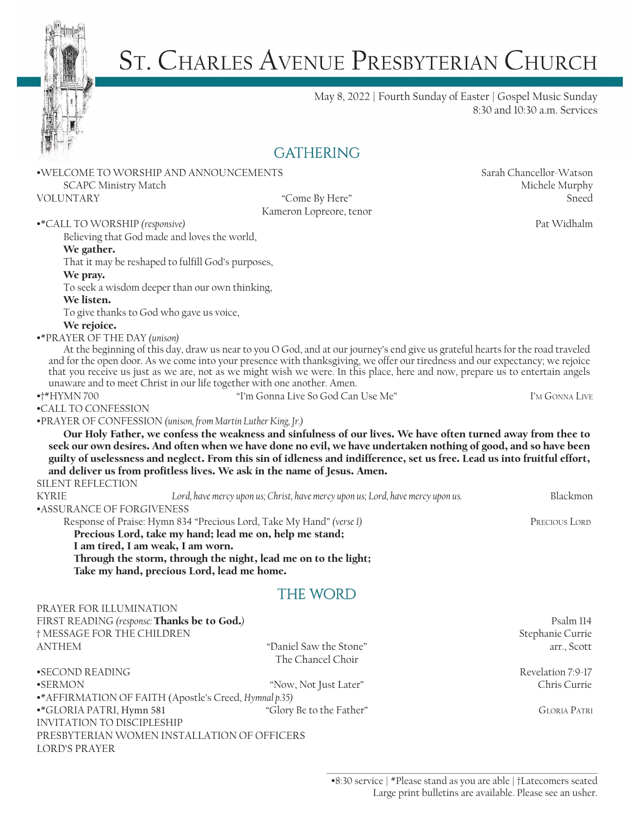

# ST. CHARLES AVENUE PRESBYTERIAN CHURCH

May 8, 2022 | Fourth Sunday of Easter | Gospel Music Sunday 8:30 and 10:30 a.m. Services

### **GATHERING**

•WELCOME TO WORSHIP AND ANNOUNCEMENTS Sarah Chancellor-Watson SCAPC Ministry Match Murphy 2008 and the Murphy Michele Murphy 30 Michele Murphy

Kameron Lopreore, tenor

VOLUNTARY "Come By Here" Sneed

•\*CALL TO WORSHIP *(responsive)* Pat Widhalm

Believing that God made and loves the world,

#### We gather.

That it may be reshaped to fulfill God's purposes,

#### We pray.

To seek a wisdom deeper than our own thinking,

#### We listen.

To give thanks to God who gave us voice,

#### We rejoice.

#### •\*PRAYER OF THE DAY *(unison)*

At the beginning of this day, draw us near to you O God, and at our journey's end give us grateful hearts for the road traveled and for the open door. As we come into your presence with thanksgiving, we offer our tiredness and our expectancy; we rejoice that you receive us just as we are, not as we might wish we were. In this place, here and now, prepare us to entertain angels unaware and to meet Christ in our life together with one another. Amen.

•†\*HYMN 700 "I'm Gonna Live So God Can Use Me" I'm Gonna Live

•CALL TO CONFESSION

•PRAYER OF CONFESSION *(unison, from Martin Luther King, Jr.)*

Our Holy Father, we confess the weakness and sinfulness of our lives. We have often turned away from thee to seek our own desires. And often when we have done no evil, we have undertaken nothing of good, and so have been guilty of uselessness and neglect. From this sin of idleness and indifference, set us free. Lead us into fruitful effort, and deliver us from profitless lives. We ask in the name of Jesus. Amen.

#### SILENT REFLECTION

PRAYER FOR ILLUMINATION

| <b>KYRIE</b>                                                         | Lord, have mercy upon us; Christ, have mercy upon us; Lord, have mercy upon us. | Blackmon      |  |  |
|----------------------------------------------------------------------|---------------------------------------------------------------------------------|---------------|--|--|
| •ASSURANCE OF FORGIVENESS                                            |                                                                                 |               |  |  |
| Response of Praise: Hymn 834 "Precious Lord, Take My Hand" (verse I) |                                                                                 | Precious Lord |  |  |
| Precious Lord, take my hand; lead me on, help me stand;              |                                                                                 |               |  |  |
|                                                                      | I am tired, I am weak, I am worn.                                               |               |  |  |

Through the storm, through the night, lead me on to the light; Take my hand, precious Lord, lead me home.

### THE WORD

| FIRST READING (response: Thanks be to God.)            | Psalm 114                |                     |
|--------------------------------------------------------|--------------------------|---------------------|
| † MESSAGE FOR THE CHILDREN                             |                          | Stephanie Currie    |
| ANTHEM                                                 | "Daniel Saw the Stone"   | arr., Scott         |
|                                                        | The Chancel Choir        |                     |
| •SECOND READING                                        |                          | Revelation 7:9-17   |
| •SERMON                                                | "Now, Not Just Later"    | Chris Currie        |
| •* AFFIRMATION OF FAITH (Apostle's Creed, Hymnal p.35) |                          |                     |
| •*GLORIA PATRI, Hymn 581                               | "Glory Be to the Father" | <b>GLORIA PATRI</b> |
| INVITATION TO DISCIPLESHIP                             |                          |                     |
| PRESBYTERIAN WOMEN INSTALLATION OF OFFICERS            |                          |                     |
| LORD'S PRAYER                                          |                          |                     |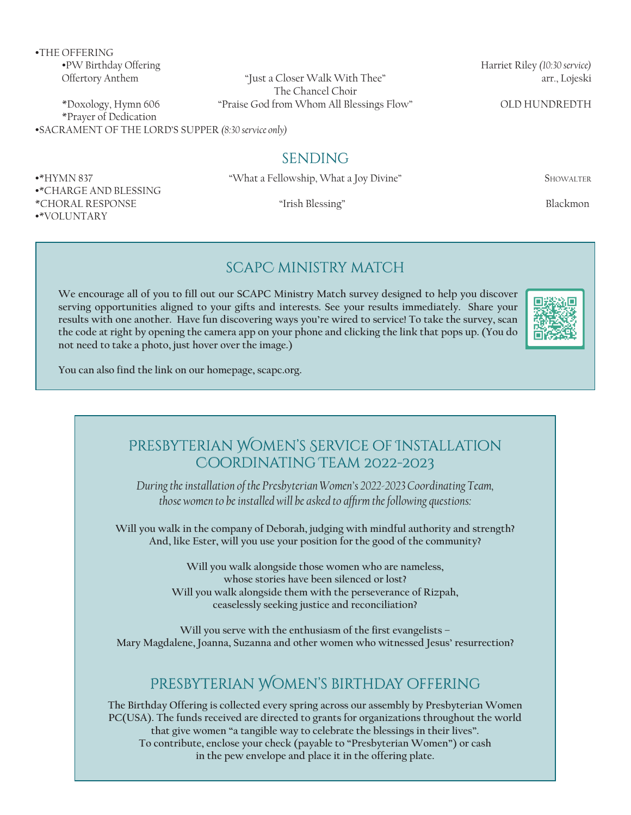•THE OFFERING

•\*CHARGE AND BLESSING

•\*VOLUNTARY

Offertory Anthem "Just a Closer Walk With Thee" arr., Lojeski The Chancel Choir \*Doxology, Hymn 606 "Praise God from Whom All Blessings Flow" OLD HUNDREDTH

\*Prayer of Dedication •SACRAMENT OF THE LORD'S SUPPER *(8:30 service only)*

**SENDING** 

•\*HYMN 837 "What a Fellowship, What a Joy Divine" Showalter

\*CHORAL RESPONSE "Irish Blessing" Blackmon

#### scapC ministry match

**We encourage all of you to fill out our SCAPC Ministry Match survey designed to help you discover serving opportunities aligned to your gifts and interests. See your results immediately. Share your results with one another. Have fun discovering ways you're wired to service! To take the survey, scan the code at right by opening the camera app on your phone and clicking the link that pops up. (You do not need to take a photo, just hover over the image.)**

**You can also find the link on our homepage, scapc.org.**



•PW Birthday Offering Harriet Riley *(10:30 service)*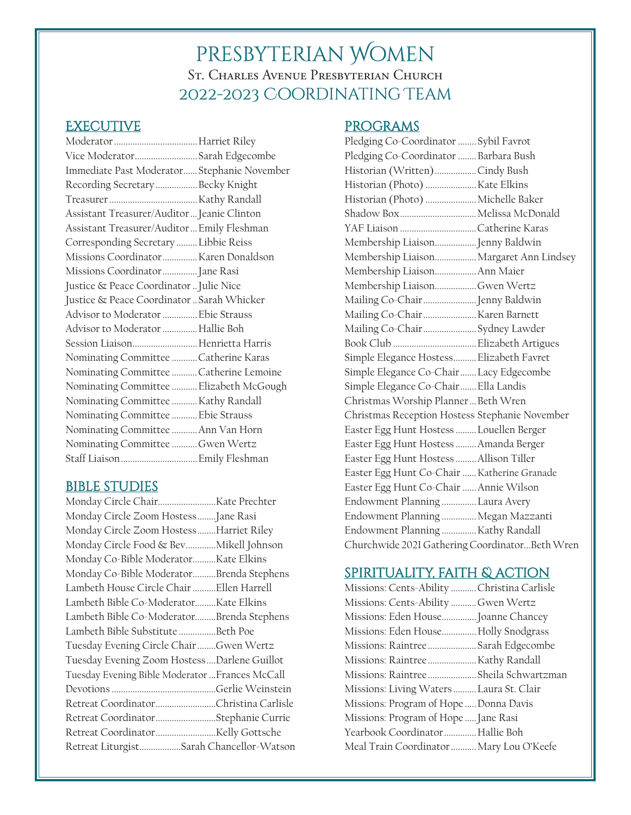## presbyterian Women St. Charles Avenue Presbyterian Church 2022-2023 Coordinating Team

### **EXECUTIVE**

| Vice ModeratorSarah Edgecombe               |  |
|---------------------------------------------|--|
| Immediate Past Moderator Stephanie November |  |
| Recording Secretary Becky Knight            |  |
|                                             |  |
| Assistant Treasurer/Auditor  Jeanie Clinton |  |
| Assistant Treasurer/Auditor  Emily Fleshman |  |
| Corresponding Secretary  Libbie Reiss       |  |
| Missions Coordinator  Karen Donaldson       |  |
| Missions Coordinator Jane Rasi              |  |
| Justice & Peace Coordinator  Julie Nice     |  |
| Justice & Peace Coordinator  Sarah Whicker  |  |
| Advisor to Moderator  Ebie Strauss          |  |
| Advisor to Moderator  Hallie Boh            |  |
| Session Liaison Henrietta Harris            |  |
| Nominating Committee Catherine Karas        |  |
| Nominating Committee  Catherine Lemoine     |  |
| Nominating Committee  Elizabeth McGough     |  |
| Nominating Committee  Kathy Randall         |  |
| Nominating Committee  Ebie Strauss          |  |
| Nominating Committee  Ann Van Horn          |  |
| Nominating Committee Gwen Wertz             |  |
| Staff Liaison Emily Fleshman                |  |
|                                             |  |

#### bible studies

| Monday Circle Zoom Hostess Jane Rasi            |  |
|-------------------------------------------------|--|
| Monday Circle Zoom HostessHarriet Riley         |  |
| Monday Circle Food & Bev Mikell Johnson         |  |
| Monday Co-Bible ModeratorKate Elkins            |  |
| Monday Co-Bible ModeratorBrenda Stephens        |  |
| Lambeth House Circle Chair  Ellen Harrell       |  |
| Lambeth Bible Co-ModeratorKate Elkins           |  |
| Lambeth Bible Co-ModeratorBrenda Stephens       |  |
| Lambeth Bible Substitute Beth Poe               |  |
| Tuesday Evening Circle Chair Gwen Wertz         |  |
| Tuesday Evening Zoom HostessDarlene Guillot     |  |
| Tuesday Evening Bible Moderator  Frances McCall |  |
|                                                 |  |
| Retreat CoordinatorChristina Carlisle           |  |
| Retreat CoordinatorStephanie Currie             |  |
|                                                 |  |
| Retreat LiturgistSarah Chancellor-Watson        |  |

### programs

| Pledging Co-Coordinator  Sybil Favrot          |  |
|------------------------------------------------|--|
| Pledging Co-Coordinator  Barbara Bush          |  |
| Historian (Written)Cindy Bush                  |  |
| Historian (Photo) Kate Elkins                  |  |
| Historian (Photo)  Michelle Baker              |  |
| Shadow Box Melissa McDonald                    |  |
| YAF Liaison Catherine Karas                    |  |
| Membership Liaison Jenny Baldwin               |  |
| Membership Liaison Margaret Ann Lindsey        |  |
| Membership Liaison Ann Maier                   |  |
| Membership LiaisonGwen Wertz                   |  |
| Mailing Co-Chair Jenny Baldwin                 |  |
| Mailing Co-ChairKaren Barnett                  |  |
| Mailing Co-Chair  Sydney Lawder                |  |
|                                                |  |
| Simple Elegance Hostess Elizabeth Favret       |  |
| Simple Elegance Co-Chair  Lacy Edgecombe       |  |
| Simple Elegance Co-Chair Ella Landis           |  |
| Christmas Worship Planner  Beth Wren           |  |
| Christmas Reception Hostess Stephanie November |  |
| Easter Egg Hunt Hostess  Louellen Berger       |  |
| Easter Egg Hunt Hostess  Amanda Berger         |  |
| Easter Egg Hunt Hostess  Allison Tiller        |  |
| Easter Egg Hunt Co-Chair  Katherine Granade    |  |
| Easter Egg Hunt Co-Chair  Annie Wilson         |  |
| Endowment Planning  Laura Avery                |  |
| Endowment Planning  Megan Mazzanti             |  |
| Endowment Planning  Kathy Randall              |  |
| Churchwide 2021 Gathering CoordinatorBeth Wren |  |

### spirituality, faith & action

| Missions: Cents-Ability  Christina Carlisle |  |
|---------------------------------------------|--|
| Missions: Cents-Ability Gwen Wertz          |  |
| Missions: Eden House Joanne Chancey         |  |
| Missions: Eden House Holly Snodgrass        |  |
| Missions: Raintree  Sarah Edgecombe         |  |
|                                             |  |
| Missions: Raintree Sheila Schwartzman       |  |
| Missions: Living Waters  Laura St. Clair    |  |
| Missions: Program of Hope  Donna Davis      |  |
| Missions: Program of Hope  Jane Rasi        |  |
| Yearbook Coordinator Hallie Boh             |  |
| Meal Train Coordinator  Mary Lou O'Keefe    |  |